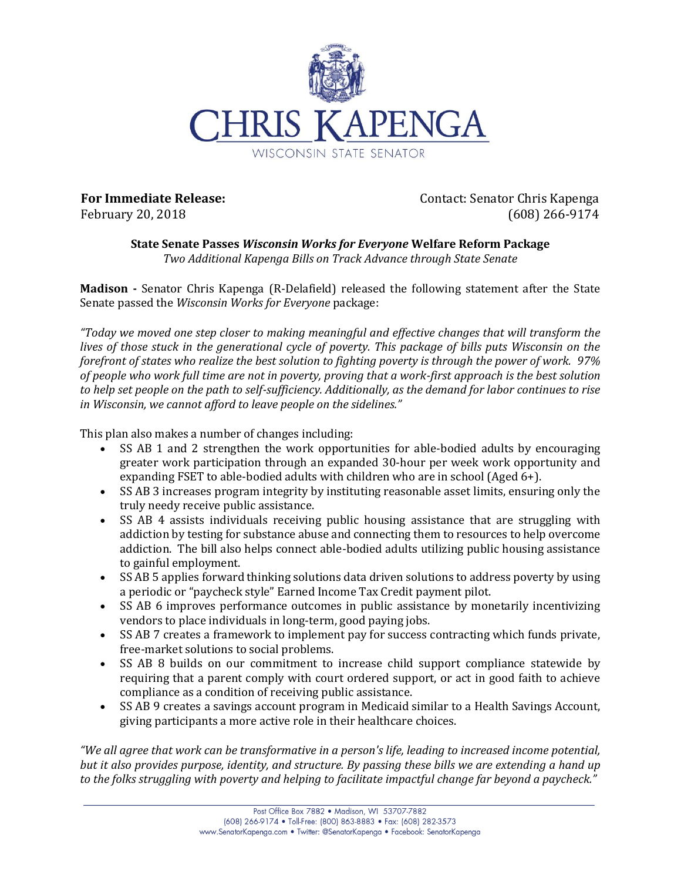

**For Immediate Release:** February 20, 2018

Contact: Senator Chris Kapenga (608) 266-9174

## **State Senate Passes** *Wisconsin Works for Everyone* **Welfare Reform Package** *Two Additional Kapenga Bills on Track Advance through State Senate*

**Madison -** Senator Chris Kapenga (R-Delafield) released the following statement after the State Senate passed the *Wisconsin Works for Everyone* package:

*"Today we moved one step closer to making meaningful and effective changes that will transform the lives of those stuck in the generational cycle of poverty. This package of bills puts Wisconsin on the forefront of states who realize the best solution to fighting poverty is through the power of work. 97% of people who work full time are not in poverty, proving that a work-first approach is the best solution to help set people on the path to self-sufficiency. Additionally, as the demand for labor continues to rise in Wisconsin, we cannot afford to leave people on the sidelines."*

This plan also makes a number of changes including:

- SS AB 1 and 2 strengthen the work opportunities for able-bodied adults by encouraging greater work participation through an expanded 30-hour per week work opportunity and expanding FSET to able-bodied adults with children who are in school (Aged 6+).
- SS AB 3 increases program integrity by instituting reasonable asset limits, ensuring only the truly needy receive public assistance.
- SS AB 4 assists individuals receiving public housing assistance that are struggling with addiction by testing for substance abuse and connecting them to resources to help overcome addiction. The bill also helps connect able-bodied adults utilizing public housing assistance to gainful employment.
- SS AB 5 applies forward thinking solutions data driven solutions to address poverty by using a periodic or "paycheck style" Earned Income Tax Credit payment pilot.
- SS AB 6 improves performance outcomes in public assistance by monetarily incentivizing vendors to place individuals in long-term, good paying jobs.
- SS AB 7 creates a framework to implement pay for success contracting which funds private, free-market solutions to social problems.
- SS AB 8 builds on our commitment to increase child support compliance statewide by requiring that a parent comply with court ordered support, or act in good faith to achieve compliance as a condition of receiving public assistance.
- SS AB 9 creates a savings account program in Medicaid similar to a Health Savings Account, giving participants a more active role in their healthcare choices.

*"We all agree that work can be transformative in a person's life, leading to increased income potential, but it also provides purpose, identity, and structure. By passing these bills we are extending a hand up to the folks struggling with poverty and helping to facilitate impactful change far beyond a paycheck."*